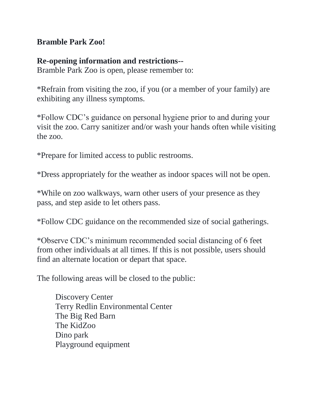## **Bramble Park Zoo!**

## **Re-opening information and restrictions--**

Bramble Park Zoo is open, please remember to:

\*Refrain from visiting the zoo, if you (or a member of your family) are exhibiting any illness symptoms.

\*Follow CDC's guidance on personal hygiene prior to and during your visit the zoo. Carry sanitizer and/or wash your hands often while visiting the zoo.

\*Prepare for limited access to public restrooms.

\*Dress appropriately for the weather as indoor spaces will not be open.

\*While on zoo walkways, warn other users of your presence as they pass, and step aside to let others pass.

\*Follow CDC guidance on the recommended size of social gatherings.

\*Observe CDC's minimum recommended social distancing of 6 feet from other individuals at all times. If this is not possible, users should find an alternate location or depart that space.

The following areas will be closed to the public:

Discovery Center Terry Redlin Environmental Center The Big Red Barn The KidZoo Dino park Playground equipment